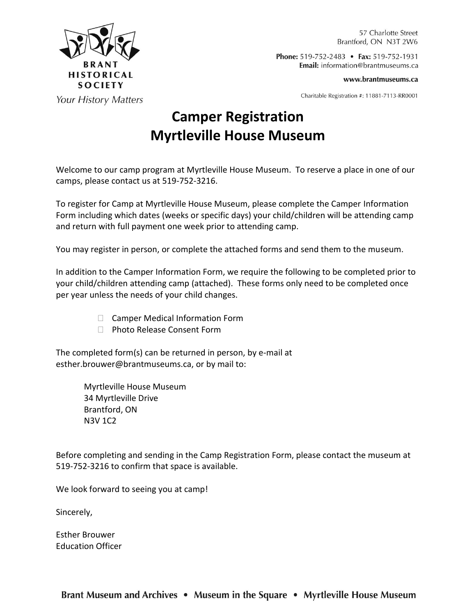

57 Charlotte Street Brantford, ON N3T 2W6

Phone: 519-752-2483 • Fax: 519-752-1931 **Email:** information@brantmuseums.ca

www.brantmuseums.ca

Charitable Registration #: 11881-7113-RR0001

#### **Your History Matters**

# **Camper Registration Myrtleville House Museum**

Welcome to our camp program at Myrtleville House Museum. To reserve a place in one of our camps, please contact us at 519-752-3216.

To register for Camp at Myrtleville House Museum, please complete the Camper Information Form including which dates (weeks or specific days) your child/children will be attending camp and return with full payment one week prior to attending camp.

You may register in person, or complete the attached forms and send them to the museum.

In addition to the Camper Information Form, we require the following to be completed prior to your child/children attending camp (attached). These forms only need to be completed once per year unless the needs of your child changes.

- □ Camper Medical Information Form
- □ Photo Release Consent Form

The completed form(s) can be returned in person, by e-mail at esther.brouwer@brantmuseums.ca, or by mail to:

> Myrtleville House Museum 34 Myrtleville Drive Brantford, ON N3V 1C2

Before completing and sending in the Camp Registration Form, please contact the museum at 519-752-3216 to confirm that space is available.

We look forward to seeing you at camp!

Sincerely,

Esther Brouwer Education Officer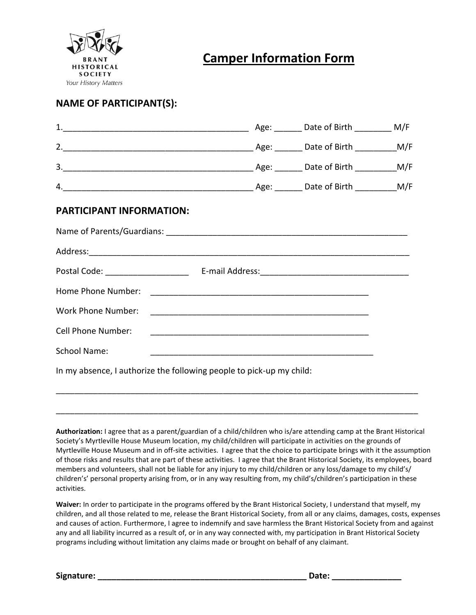

### **Camper Information Form**

#### **NAME OF PARTICIPANT(S):**

| <b>PARTICIPANT INFORMATION:</b>                                      |  |  |  |  |  |  |
|----------------------------------------------------------------------|--|--|--|--|--|--|
|                                                                      |  |  |  |  |  |  |
|                                                                      |  |  |  |  |  |  |
|                                                                      |  |  |  |  |  |  |
|                                                                      |  |  |  |  |  |  |
|                                                                      |  |  |  |  |  |  |
| <b>Cell Phone Number:</b>                                            |  |  |  |  |  |  |
| <b>School Name:</b>                                                  |  |  |  |  |  |  |
| In my absence, I authorize the following people to pick-up my child: |  |  |  |  |  |  |

**Authorization:** I agree that as a parent/guardian of a child/children who is/are attending camp at the Brant Historical Society's Myrtleville House Museum location, my child/children will participate in activities on the grounds of Myrtleville House Museum and in off-site activities. I agree that the choice to participate brings with it the assumption of those risks and results that are part of these activities. I agree that the Brant Historical Society, its employees, board members and volunteers, shall not be liable for any injury to my child/children or any loss/damage to my child's/ children's' personal property arising from, or in any way resulting from, my child's/children's participation in these activities.

\_\_\_\_\_\_\_\_\_\_\_\_\_\_\_\_\_\_\_\_\_\_\_\_\_\_\_\_\_\_\_\_\_\_\_\_\_\_\_\_\_\_\_\_\_\_\_\_\_\_\_\_\_\_\_\_\_\_\_\_\_\_\_\_\_\_\_\_\_\_\_\_\_\_\_\_\_\_

\_\_\_\_\_\_\_\_\_\_\_\_\_\_\_\_\_\_\_\_\_\_\_\_\_\_\_\_\_\_\_\_\_\_\_\_\_\_\_\_\_\_\_\_\_\_\_\_\_\_\_\_\_\_\_\_\_\_\_\_\_\_\_\_\_\_\_\_\_\_\_\_\_\_\_\_\_\_

**Waiver:** In order to participate in the programs offered by the Brant Historical Society, I understand that myself, my children, and all those related to me, release the Brant Historical Society, from all or any claims, damages, costs, expenses and causes of action. Furthermore, I agree to indemnify and save harmless the Brant Historical Society from and against any and all liability incurred as a result of, or in any way connected with, my participation in Brant Historical Society programs including without limitation any claims made or brought on behalf of any claimant.